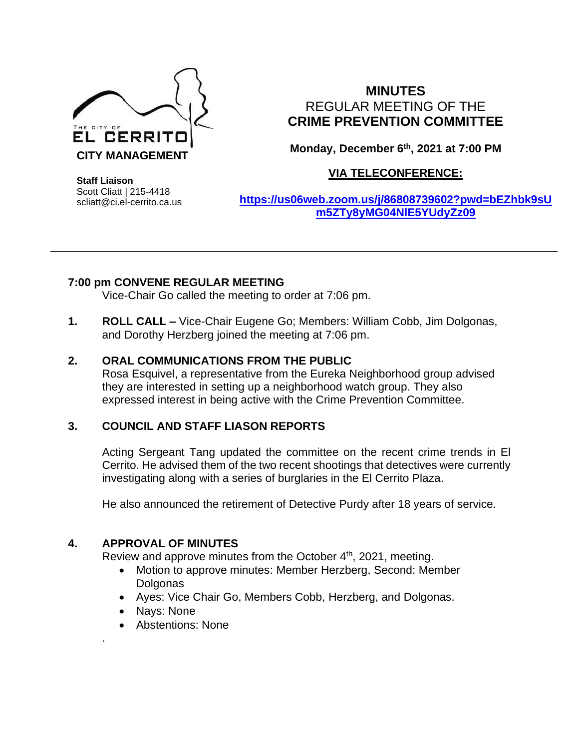

# **MINUTES** REGULAR MEETING OF THE **CRIME PREVENTION COMMITTEE**

**Monday, December 6 th, 2021 at 7:00 PM**

## **VIA TELECONFERENCE:**

**Staff Liaison** Scott Cliatt | 215-4418 scliatt@ci.el-cerrito.ca.us

**[https://us06web.zoom.us/j/86808739602?pwd=bEZhbk9sU](https://us06web.zoom.us/j/86808739602?pwd=bEZhbk9sUm5ZTy8yMG04NlE5YUdyZz09) [m5ZTy8yMG04NlE5YUdyZz09](https://us06web.zoom.us/j/86808739602?pwd=bEZhbk9sUm5ZTy8yMG04NlE5YUdyZz09)**

### **7:00 pm CONVENE REGULAR MEETING**

Vice-Chair Go called the meeting to order at 7:06 pm.

**1. ROLL CALL –** Vice-Chair Eugene Go; Members: William Cobb, Jim Dolgonas, and Dorothy Herzberg joined the meeting at 7:06 pm.

### **2. ORAL COMMUNICATIONS FROM THE PUBLIC**

Rosa Esquivel, a representative from the Eureka Neighborhood group advised they are interested in setting up a neighborhood watch group. They also expressed interest in being active with the Crime Prevention Committee.

### **3. COUNCIL AND STAFF LIASON REPORTS**

Acting Sergeant Tang updated the committee on the recent crime trends in El Cerrito. He advised them of the two recent shootings that detectives were currently investigating along with a series of burglaries in the El Cerrito Plaza.

He also announced the retirement of Detective Purdy after 18 years of service.

### **4. APPROVAL OF MINUTES**

Review and approve minutes from the October 4<sup>th</sup>, 2021, meeting.

- Motion to approve minutes: Member Herzberg, Second: Member **Dolgonas**
- Ayes: Vice Chair Go, Members Cobb, Herzberg, and Dolgonas.
- Nays: None

.

• Abstentions: None